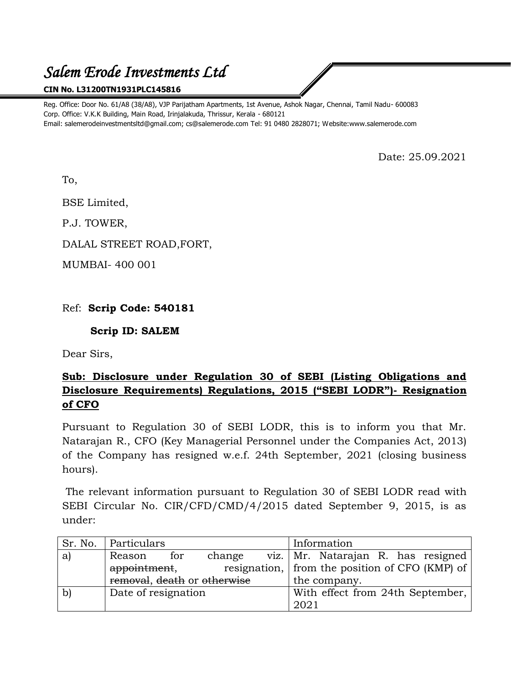# *Salem Erode Investments Ltd*

#### **CIN No. L31200TN1931PLC145816**

Reg. Office: Door No. 61/A8 (38/A8), VJP Parijatham Apartments, 1st Avenue, Ashok Nagar, Chennai, Tamil Nadu- 600083 Corp. Office: V.K.K Building, Main Road, Irinjalakuda, Thrissur, Kerala - 680121 Email: salemerodeinvestmentsltd@gmail.com; cs@salemerode.com Tel: 91 0480 2828071; Website:www.salemerode.com

Date: 25.09.2021

To,

BSE Limited,

P.J. TOWER,

DALAL STREET ROAD,FORT,

MUMBAI- 400 001

### Ref: **Scrip Code: 540181**

#### **Scrip ID: SALEM**

Dear Sirs,

## **Sub: Disclosure under Regulation 30 of SEBI (Listing Obligations and Disclosure Requirements) Regulations, 2015 ("SEBI LODR")- Resignation of CFO**

Pursuant to Regulation 30 of SEBI LODR, this is to inform you that Mr. Natarajan R., CFO (Key Managerial Personnel under the Companies Act, 2013) of the Company has resigned w.e.f. 24th September, 2021 (closing business hours).

The relevant information pursuant to Regulation 30 of SEBI LODR read with SEBI Circular No. CIR/CFD/CMD/4/2015 dated September 9, 2015, is as under:

| Sr. No. | Particulars                 |     |        |  | Information                                      |
|---------|-----------------------------|-----|--------|--|--------------------------------------------------|
| a       | Reason                      | for | change |  | viz.   Mr. Natarajan R. has resigned             |
|         | appointment,                |     |        |  | resignation,   from the position of CFO (KMP) of |
|         | removal, death or otherwise |     |        |  | the company.                                     |
|         | Date of resignation         |     |        |  | With effect from 24th September,                 |
|         |                             |     |        |  | 2021                                             |